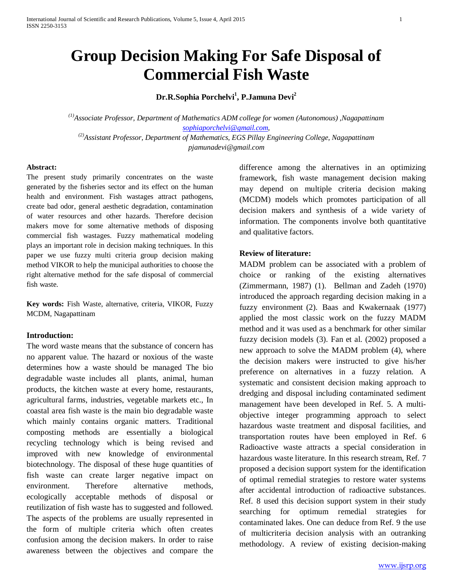# **Group Decision Making For Safe Disposal of Commercial Fish Waste**

**Dr.R.Sophia Porchelvi1 , P.Jamuna Devi2**

*(1)Associate Professor, Department of Mathematics ADM college for women (Autonomous) ,Nagapattinam [sophiaporchelvi@gmail.com,](mailto:sophiaporchelvi@gmail.com) (2)Assistant Professor, Department of Mathematics, EGS Pillay Engineering College, Nagapattinam pjamunadevi@gmail.com*

#### **Abstract:**

The present study primarily concentrates on the waste generated by the fisheries sector and its effect on the human health and environment. Fish wastages attract pathogens, create bad odor, general aesthetic degradation, contamination of water resources and other hazards. Therefore decision makers move for some alternative methods of disposing commercial fish wastages. Fuzzy mathematical modeling plays an important role in decision making techniques. In this paper we use fuzzy multi criteria group decision making method VIKOR to help the municipal authorities to choose the right alternative method for the safe disposal of commercial fish waste.

**Key words:** Fish Waste, alternative, criteria, VIKOR, Fuzzy MCDM, Nagapattinam

#### **Introduction:**

The word waste means that the substance of concern has no apparent value. The hazard or noxious of the waste determines how a waste should be managed The bio degradable waste includes all plants, animal, human products, the kitchen waste at every home, restaurants, agricultural farms, industries, vegetable markets etc., In coastal area fish waste is the main bio degradable waste which mainly contains organic matters. Traditional composting methods are essentially a biological recycling technology which is being revised and improved with new knowledge of environmental biotechnology. The disposal of these huge quantities of fish waste can create larger negative impact on environment. Therefore alternative methods, ecologically acceptable methods of disposal or reutilization of fish waste has to suggested and followed. The aspects of the problems are usually represented in the form of multiple criteria which often creates confusion among the decision makers. In order to raise awareness between the objectives and compare the

difference among the alternatives in an optimizing framework, fish waste management decision making may depend on multiple criteria decision making (MCDM) models which promotes participation of all decision makers and synthesis of a wide variety of information. The components involve both quantitative and qualitative factors.

#### **Review of literature:**

MADM problem can be associated with a problem of choice or ranking of the existing alternatives (Zimmermann, 1987) (1). Bellman and Zadeh (1970) introduced the approach regarding decision making in a fuzzy environment (2). Baas and Kwakernaak (1977) applied the most classic work on the fuzzy MADM method and it was used as a benchmark for other similar fuzzy decision models (3). Fan et al. (2002) proposed a new approach to solve the MADM problem (4), where the decision makers were instructed to give his/her preference on alternatives in a fuzzy relation. A systematic and consistent decision making approach to dredging and disposal including contaminated sediment management have been developed in Ref. 5. A multiobjective integer programming approach to select hazardous waste treatment and disposal facilities, and transportation routes have been employed in Ref. 6 Radioactive waste attracts a special consideration in hazardous waste literature. In this research stream, Ref. 7 proposed a decision support system for the identification of optimal remedial strategies to restore water systems after accidental introduction of radioactive substances. Ref. 8 used this decision support system in their study searching for optimum remedial strategies for contaminated lakes. One can deduce from Ref. 9 the use of multicriteria decision analysis with an outranking methodology. A review of existing decision-making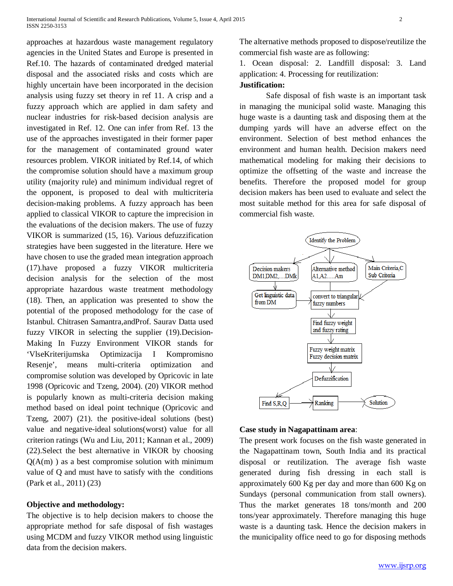approaches at hazardous waste management regulatory agencies in the United States and Europe is presented in Ref.10. The hazards of contaminated dredged material disposal and the associated risks and costs which are highly uncertain have been incorporated in the decision analysis using fuzzy set theory in ref 11. A crisp and a fuzzy approach which are applied in dam safety and nuclear industries for risk-based decision analysis are investigated in Ref. 12. One can infer from Ref. 13 the use of the approaches investigated in their former paper for the management of contaminated ground water resources problem. VIKOR initiated by Ref.14, of which the compromise solution should have a maximum group utility (majority rule) and minimum individual regret of the opponent, is proposed to deal with multicriteria decision-making problems. A fuzzy approach has been applied to classical VIKOR to capture the imprecision in the evaluations of the decision makers. The use of fuzzy VIKOR is summarized (15, 16). Various defuzzification strategies have been suggested in the literature. Here we have chosen to use the graded mean integration approach (17).have proposed a fuzzy VIKOR multicriteria decision analysis for the selection of the most appropriate hazardous waste treatment methodology (18). Then, an application was presented to show the potential of the proposed methodology for the case of Istanbul. Chitrasen Samantra,andProf. Saurav Datta used fuzzy VIKOR in selecting the supplier (19).Decision-Making In Fuzzy Environment VIKOR stands for 'VlseKriterijumska Optimizacija I Kompromisno Resenje', means multi-criteria optimization and compromise solution was developed by Opricovic in late 1998 (Opricovic and Tzeng, 2004). (20) VIKOR method is popularly known as multi-criteria decision making method based on ideal point technique (Opricovic and Tzeng, 2007) (21). the positive-ideal solutions (best) value and negative-ideal solutions(worst) value for all criterion ratings (Wu and Liu, 2011; Kannan et al., 2009) (22).Select the best alternative in VIKOR by choosing  $Q(A(m))$  as a best compromise solution with minimum value of Q and must have to satisfy with the conditions (Park et al., 2011) (23)

## **Objective and methodology:**

The objective is to help decision makers to choose the appropriate method for safe disposal of fish wastages using MCDM and fuzzy VIKOR method using linguistic data from the decision makers.

The alternative methods proposed to dispose/reutilize the commercial fish waste are as following:

1. Ocean disposal: 2. Landfill disposal: 3. Land application: 4. Processing for reutilization:

## **Justification:**

Safe disposal of fish waste is an important task in managing the municipal solid waste. Managing this huge waste is a daunting task and disposing them at the dumping yards will have an adverse effect on the environment. Selection of best method enhances the environment and human health. Decision makers need mathematical modeling for making their decisions to optimize the offsetting of the waste and increase the benefits. Therefore the proposed model for group decision makers has been used to evaluate and select the most suitable method for this area for safe disposal of commercial fish waste.



#### **Case study in Nagapattinam area**:

The present work focuses on the fish waste generated in the Nagapattinam town, South India and its practical disposal or reutilization. The average fish waste generated during fish dressing in each stall is approximately 600 Kg per day and more than 600 Kg on Sundays (personal communication from stall owners). Thus the market generates 18 tons/month and 200 tons/year approximately. Therefore managing this huge waste is a daunting task. Hence the decision makers in the municipality office need to go for disposing methods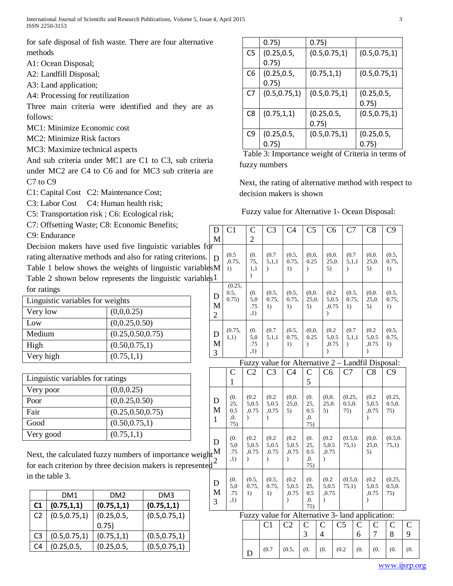International Journal of Scientific and Research Publications, Volume 5, Issue 4, April 2015 3 ISSN 2250-3153

for safe disposal of fish waste. There are four alternative methods

A1: Ocean Disposal;

A2: Landfill Disposal;

A3: Land application;

A4: Processing for reutilization

Three main criteria were identified and they are as follows:

MC1: Minimize Economic cost

MC2: Minimize Risk factors

MC3: Maximize technical aspects

And sub criteria under MC1 are C1 to C3, sub criteria under MC2 are C4 to C6 and for MC3 sub criteria are C7 to C9

C1: Capital Cost C2: Maintenance Cost;

C3: Labor Cost C4: Human health risk;

C5: Transportation risk ; C6: Ecological risk;

C7: Offsetting Waste; C8: Economic Benefits;

C9: Endurance

Decision makers have used five linguistic variables rating alternative methods and also for rating criterions. Table 1 below shows the weights of linguistic variab Table 2 shown below represents the linguistic variables for ratings

| Linguistic variables for weights |                    |  |  |  |  |  |
|----------------------------------|--------------------|--|--|--|--|--|
| Very low                         | (0,0,0.25)         |  |  |  |  |  |
| Low                              | (0, 0.25, 0.50)    |  |  |  |  |  |
| Medium                           | (0.25, 0.50, 0.75) |  |  |  |  |  |
| High                             | (0.50, 0.75, 1)    |  |  |  |  |  |
| Very high                        | (0.75, 1, 1)       |  |  |  |  |  |

| Linguistic variables for ratings |                    |  |  |  |  |  |
|----------------------------------|--------------------|--|--|--|--|--|
| Very poor                        | (0,0,0.25)         |  |  |  |  |  |
| Poor                             | (0, 0.25, 0.50)    |  |  |  |  |  |
| Fair                             | (0.25, 0.50, 0.75) |  |  |  |  |  |
| Good                             | (0.50, 0.75, 1)    |  |  |  |  |  |
| Very good                        | (0.75, 1, 1)       |  |  |  |  |  |

Next, the calculated fuzzy numbers of importance weight for each criterion by three decision makers is represent in the table 3.

|                | DM1            | DM <sub>2</sub> | DM3            |
|----------------|----------------|-----------------|----------------|
| C1             | (0.75, 1, 1)   | (0.75, 1, 1)    | (0.75, 1, 1)   |
| C <sub>2</sub> | (0.5, 0.75, 1) |                 | (0.5, 0.75, 1) |
|                |                | 0.75)           |                |
| C <sub>3</sub> | (0.5, 0.75, 1) | (0.75, 1, 1)    | (0.5, 0.75, 1) |
| C4             |                |                 | (0.5, 0.75, 1) |

|                | 0.75)          | 0.75)          |                |
|----------------|----------------|----------------|----------------|
| C5             |                | (0.5, 0.75, 1) | (0.5, 0.75, 1) |
|                | 0.75)          |                |                |
| C6             | (0.25, 0.5,    | (0.75, 1, 1)   | (0.5, 0.75, 1) |
|                | 0.75)          |                |                |
| C7             | (0.5, 0.75, 1) | (0.5, 0.75, 1) | (0.25, 0.5,    |
|                |                |                | 0.75)          |
| C <sub>8</sub> | (0.75, 1, 1)   |                | (0.5, 0.75, 1) |
|                |                | 0.75)          |                |
| C9             | (0.25, 0.5,    | (0.5, 0.75, 1) | (0.25, 0.5,    |
|                | 0.75)          |                | 0.75)          |

 Table 3: Importance weight of Criteria in terms of fuzzy numbers

Next, the rating of alternative method with respect to decision makers is shown

Fuzzy value for Alternative 1- Ocean Disposal:

| for<br>(0.5)<br>(0.<br>(0.7)<br>(0.5,<br>(0,0,<br>(0,0.<br>(0.7)<br>(0,0.<br>(0.5,<br>D<br>0.25<br>,0.75,<br>75,<br>0.75,<br>25,0.<br>25,0.<br>0.75,<br>5,1,1<br>5,1,1<br>1)<br>1,1<br>1)<br>5)<br>5)<br>1)<br>$\mathcal{E}$<br>$\mathcal{E}$<br>$\mathcal{E}$<br>$\mathcal{L}$<br>(0.25,<br>0.5,<br>(0.<br>(0.5,<br>(0.5,<br>(0, 0, 0)<br>(0.2)<br>(0,0.<br>(0.5,<br>(0.5,<br>D<br>0.75)<br>5,0<br>0.75,<br>0.75,<br>25,0.<br>0.75,<br>25,0.<br>0.75,<br>5,0.5<br>M<br>.75<br>1)<br>1)<br>5)<br>,0.75<br>1)<br>5)<br>1)<br>,1)<br>$\mathcal{E}$<br>$\overline{2}$<br>(0.7)<br>(0.7)<br>(0.2)<br>(0.75,<br>(0.<br>(0.5,<br>(0,0,<br>(0.2)<br>(0.5,<br>D<br>5,0.5<br>5,0<br>5,1,1<br>0.75,<br>0.25<br>5,1,1<br>5,0.5<br>0.75,<br>1,1)<br>M<br>.75<br>,0.75<br>1)<br>,0.75<br>1)<br>$\lambda$<br>$\lambda$<br>$\lambda$<br>,1)<br>$\lambda$<br>$\mathcal{E}$<br>3<br>Fuzzy value for Alternative 2 - Landfil Disposal:<br>C <sub>2</sub><br>C <sub>3</sub><br>C <sub>4</sub><br>C7<br>C8<br>C <sub>6</sub><br>C9<br>$\overline{C}$<br>C<br>5<br>$\mathbf{1}$<br>(0.<br>(0.<br>(0.2)<br>(0.2)<br>(0.2)<br>(0,0.<br>(0,0.<br>(0.25,<br>(0.25,<br>D<br>25,<br>5,0.5<br>25,0.<br>25,<br>25,0.<br>0.5, 0.<br>0.5, 0.<br>5,0.5<br>5,0.5<br>M<br>0.5<br>,0.75<br>,0.75<br>5)<br>0.5<br>5)<br>75)<br>,0.75<br>75)<br>,0.<br>,0.<br>$\mathcal{E}$<br>$\lambda$<br>$\lambda$<br>$\mathbf{1}$<br>75)<br>75)<br>(0.<br>(0.2)<br>(0.2)<br>(0.2)<br>(0.<br>(0.2)<br>(0.5, 0.<br>(0,0.<br>D<br>5,0<br>5,0.5<br>5,0.5<br>25,<br>25,0.<br>5,0.5<br>5,0.5<br>75,1)<br>75,1)<br>.75<br>,0.75<br>,0.75<br>0.5<br>,0.75<br>,0.75<br>5)<br>,1)<br>,0.<br>$\lambda$<br>$\lambda$<br>$\mathcal{E}$<br>$\lambda$<br>75)<br>(0.<br>(0.2)<br>(0.<br>(0.2)<br>(0.2)<br>(0.5,<br>(0.5,<br>(0.5, 0.<br>(0.25,<br>D<br>5,0<br>0.75,<br>0.75,<br>5,0.5<br>25,<br>5,0.5<br>75,1)<br>5,0.5<br>0.5, 0.<br>M<br>.75<br>1)<br>,0.75<br>0.5<br>,0.75<br>,0.75<br>75)<br>1)<br>,1)<br>,0.<br>$\mathcal{E}$<br>$\mathcal{E}$<br>$\lambda$<br>3<br>75)<br>Fuzzy value for Alternative 3- land application:<br>$\mathcal{C}$<br>C <sub>5</sub><br>$\bigcap$<br>$\mathcal{C}_{\mathcal{C}}$<br>$\mathcal{C}_{\mathcal{C}}$ | D<br>M                           | C <sub>1</sub> | $\mathcal{C}$<br>$\overline{2}$ | C <sub>3</sub> | C <sub>4</sub> | C <sub>5</sub> | C6 | C7 | C8 | C9       |  |
|-------------------------------------------------------------------------------------------------------------------------------------------------------------------------------------------------------------------------------------------------------------------------------------------------------------------------------------------------------------------------------------------------------------------------------------------------------------------------------------------------------------------------------------------------------------------------------------------------------------------------------------------------------------------------------------------------------------------------------------------------------------------------------------------------------------------------------------------------------------------------------------------------------------------------------------------------------------------------------------------------------------------------------------------------------------------------------------------------------------------------------------------------------------------------------------------------------------------------------------------------------------------------------------------------------------------------------------------------------------------------------------------------------------------------------------------------------------------------------------------------------------------------------------------------------------------------------------------------------------------------------------------------------------------------------------------------------------------------------------------------------------------------------------------------------------------------------------------------------------------------------------------------------------------------------------------------------------------------------------------------------------------------------------------------------------------------------------------------------------------------------------------------------------------------------|----------------------------------|----------------|---------------------------------|----------------|----------------|----------------|----|----|----|----------|--|
|                                                                                                                                                                                                                                                                                                                                                                                                                                                                                                                                                                                                                                                                                                                                                                                                                                                                                                                                                                                                                                                                                                                                                                                                                                                                                                                                                                                                                                                                                                                                                                                                                                                                                                                                                                                                                                                                                                                                                                                                                                                                                                                                                                               | s.<br>$\delta$ les $M$<br>ار $1$ |                |                                 |                |                |                |    |    |    |          |  |
|                                                                                                                                                                                                                                                                                                                                                                                                                                                                                                                                                                                                                                                                                                                                                                                                                                                                                                                                                                                                                                                                                                                                                                                                                                                                                                                                                                                                                                                                                                                                                                                                                                                                                                                                                                                                                                                                                                                                                                                                                                                                                                                                                                               |                                  |                |                                 |                |                |                |    |    |    |          |  |
|                                                                                                                                                                                                                                                                                                                                                                                                                                                                                                                                                                                                                                                                                                                                                                                                                                                                                                                                                                                                                                                                                                                                                                                                                                                                                                                                                                                                                                                                                                                                                                                                                                                                                                                                                                                                                                                                                                                                                                                                                                                                                                                                                                               |                                  |                |                                 |                |                |                |    |    |    |          |  |
|                                                                                                                                                                                                                                                                                                                                                                                                                                                                                                                                                                                                                                                                                                                                                                                                                                                                                                                                                                                                                                                                                                                                                                                                                                                                                                                                                                                                                                                                                                                                                                                                                                                                                                                                                                                                                                                                                                                                                                                                                                                                                                                                                                               |                                  |                |                                 |                |                |                |    |    |    |          |  |
|                                                                                                                                                                                                                                                                                                                                                                                                                                                                                                                                                                                                                                                                                                                                                                                                                                                                                                                                                                                                                                                                                                                                                                                                                                                                                                                                                                                                                                                                                                                                                                                                                                                                                                                                                                                                                                                                                                                                                                                                                                                                                                                                                                               |                                  |                |                                 |                |                |                |    |    |    |          |  |
|                                                                                                                                                                                                                                                                                                                                                                                                                                                                                                                                                                                                                                                                                                                                                                                                                                                                                                                                                                                                                                                                                                                                                                                                                                                                                                                                                                                                                                                                                                                                                                                                                                                                                                                                                                                                                                                                                                                                                                                                                                                                                                                                                                               |                                  |                |                                 |                |                |                |    |    |    |          |  |
|                                                                                                                                                                                                                                                                                                                                                                                                                                                                                                                                                                                                                                                                                                                                                                                                                                                                                                                                                                                                                                                                                                                                                                                                                                                                                                                                                                                                                                                                                                                                                                                                                                                                                                                                                                                                                                                                                                                                                                                                                                                                                                                                                                               | $ght^M_2$ ted <sup>2</sup>       |                |                                 |                |                |                |    |    |    | (0.5, 0. |  |
|                                                                                                                                                                                                                                                                                                                                                                                                                                                                                                                                                                                                                                                                                                                                                                                                                                                                                                                                                                                                                                                                                                                                                                                                                                                                                                                                                                                                                                                                                                                                                                                                                                                                                                                                                                                                                                                                                                                                                                                                                                                                                                                                                                               |                                  |                |                                 |                |                |                |    |    |    |          |  |
|                                                                                                                                                                                                                                                                                                                                                                                                                                                                                                                                                                                                                                                                                                                                                                                                                                                                                                                                                                                                                                                                                                                                                                                                                                                                                                                                                                                                                                                                                                                                                                                                                                                                                                                                                                                                                                                                                                                                                                                                                                                                                                                                                                               |                                  |                |                                 |                |                |                |    |    |    |          |  |

|  | $(0.7 \mid (0.5, \mid (0. \mid (0. \mid (0.2 \mid (0. \mid (0. \mid (0. \mid (0. \mid (0.$ |  |  |  |  |
|--|--------------------------------------------------------------------------------------------|--|--|--|--|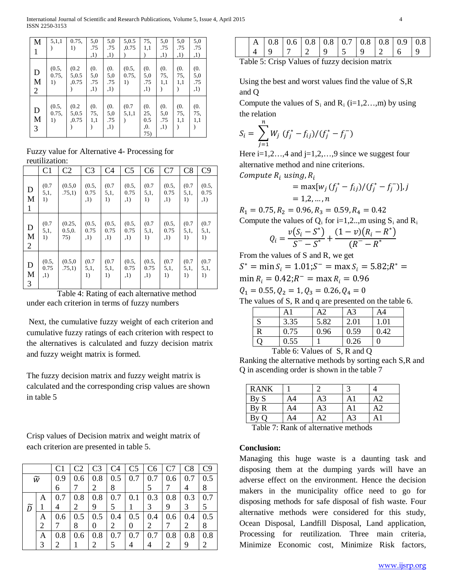International Journal of Scientific and Research Publications, Volume 5, Issue 4, April 2015 4 ISSN 2250-3153

| M                     | 5,1,1                | 0.75.<br>1)             | 5,0<br>.75<br>,1)        | 5,0<br>.75<br>,1)        | 5,0.5<br>,0.75       | 75,<br>1,1                      | 5,0<br>.75<br>,1)         | 5,0<br>.75<br>,1) | 5,0<br>.75<br>,1)        |
|-----------------------|----------------------|-------------------------|--------------------------|--------------------------|----------------------|---------------------------------|---------------------------|-------------------|--------------------------|
| D<br>M<br>2           | (0.5,<br>0.75,<br>1) | (0.2)<br>5,0.5<br>,0.75 | (0.<br>5,0<br>.75<br>,1) | (0.<br>5,0<br>.75<br>,1) | (0.5,<br>0.75,<br>1) | (0.<br>5,0<br>.75<br>,1)        | (0.<br>75,<br>1,1         | (0.<br>75,<br>1,1 | (0.<br>5,0<br>.75<br>,1) |
| $\mathbf D$<br>M<br>3 | (0.5,<br>0.75,<br>1) | (0.2)<br>5,0.5<br>,0.75 | (0.<br>75,<br>1,1        | (0.<br>5,0<br>.75<br>,1) | (0.7)<br>5,1,1       | (0.<br>25,<br>0.5<br>,0.<br>75) | (0.<br>5,0<br>.75<br>, 1) | (0.<br>75,<br>1,1 | (0.<br>75,<br>1,1        |

Fuzzy value for Alternative 4- Processing for reutilization:

|                          | C <sub>1</sub>       | C <sub>2</sub>          | C <sub>3</sub>       | C <sub>4</sub>       | C <sub>5</sub>       | C <sub>6</sub>       | C7                   | C8                  | C9                   |
|--------------------------|----------------------|-------------------------|----------------------|----------------------|----------------------|----------------------|----------------------|---------------------|----------------------|
| D<br>M<br>1              | (0.7)<br>5,1,<br>1)  | (0.5, 0)<br>.75,1)      | (0.5,<br>0.75<br>,1) | (0.7)<br>5,1,<br>1)  | (0.5,<br>0.75<br>,1) | (0.7)<br>5.1,<br>1)  | (0.5,<br>0.75<br>,1) | (0.7)<br>5,1,<br>1) | (0.5,<br>0.75<br>,1) |
| D<br>M<br>$\overline{2}$ | (0.7)<br>5,1,<br>1)  | (0.25,<br>0.5.0.<br>75) | (0.5,<br>0.75<br>,1) | (0.5,<br>0.75<br>,1) | (0.5,<br>0.75<br>,1) | (0.7)<br>5,1,<br>1)  | (0.5,<br>0.75<br>,1) | (0.7)<br>5,1,<br>1) | (0.7)<br>5,1,<br>1)  |
| D<br>M<br>3              | (0.5,<br>0.75<br>,1) | (0.5, 0)<br>.75,1)      | (0.7)<br>5.1,<br>1)  | (0.7)<br>5,1,<br>1)  | (0.5,<br>0.75<br>,1) | (0.5,<br>0.75<br>,1) | (0.7)<br>5,1,<br>1)  | (0.7)<br>5,1,<br>1) | (0.7)<br>5,1,<br>1)  |

 Table 4: Rating of each alternative method under each criterion in terms of fuzzy numbers

Next, the cumulative fuzzy weight of each criterion and cumulative fuzzy ratings of each criterion with respect to the alternatives is calculated and fuzzy decision matrix and fuzzy weight matrix is formed.

The fuzzy decision matrix and fuzzy weight matrix is calculated and the corresponding crisp values are shown in table 5

Crisp values of Decision matrix and weight matrix of each criterion are presented in table 5.

|   |                 | C <sub>1</sub> | C <sub>2</sub> | C <sub>3</sub>        | C <sub>4</sub> | C <sub>5</sub> | C6  | C <sub>7</sub> | C8  | C9      |
|---|-----------------|----------------|----------------|-----------------------|----------------|----------------|-----|----------------|-----|---------|
|   | $\widetilde{w}$ | 0.9            | 0.6            | 0.8                   | 0.5            | 0.7            | 0.7 | 0.6            | 0.7 | 0.5     |
|   |                 | 6              |                | 2                     | 8              |                |     |                |     | 8       |
|   | Α               | 0.7            | 0.8            | 0.8                   | 0.7            | 0.1            | 0.3 | 0.8            | 0.3 | 0.7     |
| ñ |                 |                | 2              | 9                     | 5              |                | 3   | 9              | 3   | 5       |
|   | A               | 0.6            | 0.5            | 0.5                   | 0.4            | 0.5            | 0.4 | 0.6            | 0.4 | 0.5     |
|   | 2               |                | 8              | 0                     | 2              | 0              | 2   |                | 2   | 8       |
|   | Α               | 0.8            | 0.6            | 0.8                   | 0.7            | 0.7            | 0.7 | 0.8            | 0.8 | $0.8\,$ |
|   | 3               | 2              |                | $\mathcal{D}_{\cdot}$ | 5              |                |     | 2              | 9   | 2       |

|  |  |  | $A \mid 0.8 \mid 0.6 \mid 0.8 \mid 0.8 \mid 0.7 \mid 0.8 \mid 0.8 \mid 0.9 \mid 0.8$ |  |  |
|--|--|--|--------------------------------------------------------------------------------------|--|--|
|  |  |  |                                                                                      |  |  |
|  |  |  |                                                                                      |  |  |

Table 5: Crisp Values of fuzzy decision matrix

Using the best and worst values find the value of S,R and Q

Compute the values of  $S_i$  and  $R_i$  (i=1,2…,m) by using the relation

$$
S_i = \sum_{j=1}^{n} W_j (f_j^* - f_{ij})/(f_j^* - f_j^-)
$$

Here  $i=1,2...,4$  and  $j=1,2,...,9$  since we suggest four alternative method and nine criterions.

Compute  $R_i$  using,  $R_i$ 

$$
= \max[w_j (f_j^* - f_{ij})/(f_j^* - f_j^-)], j
$$
  
= 1,2,...,*n*

 $R_1 = 0.75, R_2 = 0.96, R_3 = 0.59, R_4 = 0.42$ Compute the values of  $Q_i$  for i=1,2..,m using  $S_i$  and  $R_i$ 

$$
Q_i = \frac{v(S_i - S^*)}{S^- - S^*} + \frac{(1 - v)(R_i - R^*)}{(R^- - R^*)}
$$

From the values of S and R, we get

 $S^* = \min S_i = 1.01; S^- = \max S_i = 5.82; R^* =$ 

$$
\min R_i = 0.42; R^- = \max R_i = 0.96
$$

 $Q_1 = 0.55, Q_2 = 1, Q_3 = 0.26, Q_4 = 0$ 

The values of S, R and q are presented on the table 6.

|   | A1   | A2   | A3   | A4   |
|---|------|------|------|------|
|   | 3.35 | 5.82 | 2.01 | 1.01 |
| R | 0.75 | 0.96 | 0.59 | 0.42 |
|   | 0.55 |      | 0.26 |      |

Table 6: Values of S, R and Q

Ranking the alternative methods by sorting each S,R and Q in ascending order is shown in the table 7

| <b>RANK</b> |    |    |  |
|-------------|----|----|--|
| By S        | A4 | A3 |  |
| By R        | A4 | A3 |  |
| By<br>∩     | A4 |    |  |

Table 7: Rank of alternative methods

## **Conclusion:**

Managing this huge waste is a daunting task and disposing them at the dumping yards will have an adverse effect on the environment. Hence the decision makers in the municipality office need to go for disposing methods for safe disposal of fish waste. Four alternative methods were considered for this study, Ocean Disposal, Landfill Disposal, Land application, Processing for reutilization. Three main criteria, Minimize Economic cost, Minimize Risk factors,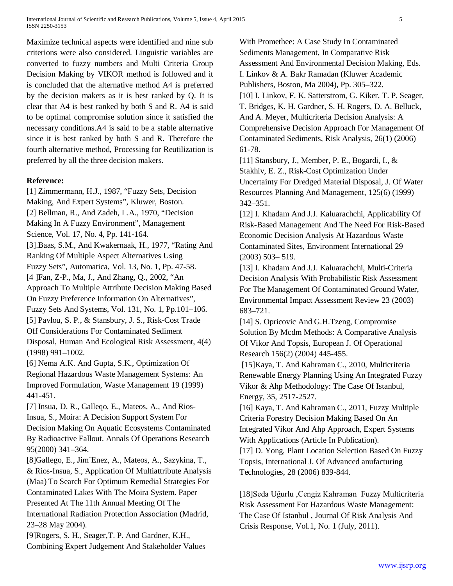International Journal of Scientific and Research Publications, Volume 5, Issue 4, April 2015 5 ISSN 2250-3153

Maximize technical aspects were identified and nine sub criterions were also considered. Linguistic variables are converted to fuzzy numbers and Multi Criteria Group Decision Making by VIKOR method is followed and it is concluded that the alternative method A4 is preferred by the decision makers as it is best ranked by Q. It is clear that A4 is best ranked by both S and R. A4 is said to be optimal compromise solution since it satisfied the necessary conditions.A4 is said to be a stable alternative since it is best ranked by both S and R. Therefore the fourth alternative method, Processing for Reutilization is preferred by all the three decision makers.

## **Reference:**

[1] Zimmermann, H.J., 1987, "Fuzzy Sets, Decision Making, And Expert Systems", Kluwer, Boston. [2] Bellman, R., And Zadeh, L.A., 1970, "Decision Making In A Fuzzy Environment", Management Science, Vol. 17, No. 4, Pp. 141-164. [3].Baas, S.M., And Kwakernaak, H., 1977, "Rating And Ranking Of Multiple Aspect Alternatives Using Fuzzy Sets", Automatica, Vol. 13, No. 1, Pp. 47-58. [4 ]Fan, Z-P., Ma, J., And Zhang, Q., 2002, "An Approach To Multiple Attribute Decision Making Based On Fuzzy Preference Information On Alternatives", Fuzzy Sets And Systems, Vol. 131, No. 1, Pp.101–106. [5] Pavlou, S. P., & Stansbury, J. S., Risk-Cost Trade Off Considerations For Contaminated Sediment Disposal, Human And Ecological Risk Assessment, 4(4) (1998) 991–1002. [6] Nema A.K. And Gupta, S.K., Optimization Of

Regional Hazardous Waste Management Systems: An Improved Formulation, Waste Management 19 (1999) 441-451.

[7] Insua, D. R., Galleqo, E., Mateos, A., And Rios-Insua, S., Moira: A Decision Support System For Decision Making On Aquatic Ecosystems Contaminated By Radioactive Fallout. Annals Of Operations Research 95(2000) 341–364.

[8]Gallego, E., Jim´Enez, A., Mateos, A., Sazykina, T., & Rios-Insua, S., Application Of Multiattribute Analysis (Maa) To Search For Optimum Remedial Strategies For Contaminated Lakes With The Moira System. Paper Presented At The 11th Annual Meeting Of The International Radiation Protection Association (Madrid, 23–28 May 2004).

[9]Rogers, S. H., Seager,T. P. And Gardner, K.H., Combining Expert Judgement And Stakeholder Values With Promethee: A Case Study In Contaminated Sediments Management, In Comparative Risk Assessment And Environmental Decision Making, Eds. I. Linkov & A. Bakr Ramadan (Kluwer Academic Publishers, Boston, Ma 2004), Pp. 305–322. [10] I. Linkov, F. K. Satterstrom, G. Kiker, T. P. Seager, T. Bridges, K. H. Gardner, S. H. Rogers, D. A. Belluck, And A. Meyer, Multicriteria Decision Analysis: A Comprehensive Decision Approach For Management Of Contaminated Sediments, Risk Analysis, 26(1) (2006) 61-78.

[11] Stansbury, J., Member, P. E., Bogardi, I., & Stakhiv, E. Z., Risk-Cost Optimization Under Uncertainty For Dredged Material Disposal, J. Of Water Resources Planning And Management, 125(6) (1999) 342–351.

[12] I. Khadam And J.J. Kaluarachchi, Applicability Of Risk-Based Management And The Need For Risk-Based Economic Decision Analysis At Hazardous Waste Contaminated Sites, Environment International 29 (2003) 503– 519.

[13] I. Khadam And J.J. Kaluarachchi, Multi-Criteria Decision Analysis With Probabilistic Risk Assessment For The Management Of Contaminated Ground Water, Environmental Impact Assessment Review 23 (2003) 683–721.

[14] S. Opricovic And G.H.Tzeng, Compromise Solution By Mcdm Methods: A Comparative Analysis Of Vikor And Topsis, European J. Of Operational Research 156(2) (2004) 445-455.

[15]Kaya, T. And Kahraman C., 2010, Multicriteria Renewable Energy Planning Using An Integrated Fuzzy Vikor & Ahp Methodology: The Case Of Istanbul, Energy, 35, 2517-2527.

[16] Kaya, T. And Kahraman C., 2011, Fuzzy Multiple Criteria Forestry Decision Making Based On An Integrated Vikor And Ahp Approach, Expert Systems With Applications (Article In Publication).

[17] D. Yong, Plant Location Selection Based On Fuzzy Topsis, International J. Of Advanced anufacturing Technologies, 28 (2006) 839-844.

[18]Seda Uğurlu ,Cengiz Kahraman Fuzzy Multicriteria Risk Assessment For Hazardous Waste Management: The Case Of Istanbul , Journal Of Risk Analysis And Crisis Response, Vol.1, No. 1 (July, 2011).